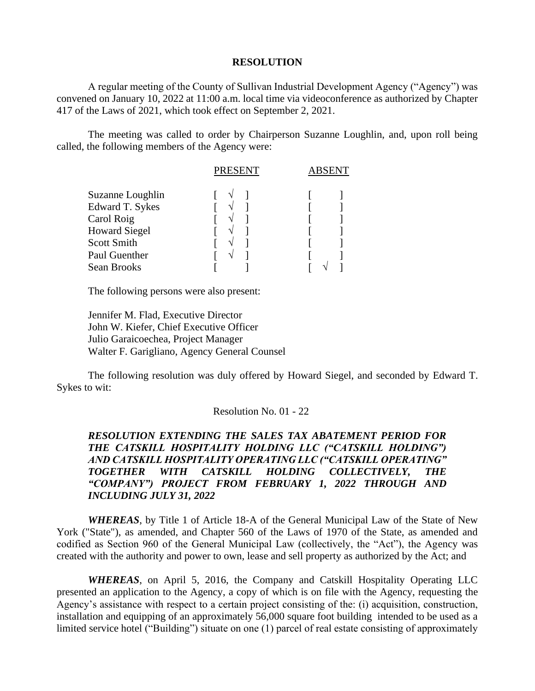## **RESOLUTION**

A regular meeting of the County of Sullivan Industrial Development Agency ("Agency") was convened on January 10, 2022 at 11:00 a.m. local time via videoconference as authorized by Chapter 417 of the Laws of 2021, which took effect on September 2, 2021.

The meeting was called to order by Chairperson Suzanne Loughlin, and, upon roll being called, the following members of the Agency were:

|                      | <b>PRESENT</b> | ABSENT |  |
|----------------------|----------------|--------|--|
| Suzanne Loughlin     |                |        |  |
| Edward T. Sykes      |                |        |  |
| Carol Roig           |                |        |  |
| <b>Howard Siegel</b> |                |        |  |
| <b>Scott Smith</b>   |                |        |  |
| Paul Guenther        |                |        |  |
| Sean Brooks          |                |        |  |

The following persons were also present:

Jennifer M. Flad, Executive Director John W. Kiefer, Chief Executive Officer Julio Garaicoechea, Project Manager Walter F. Garigliano, Agency General Counsel

The following resolution was duly offered by Howard Siegel, and seconded by Edward T. Sykes to wit:

## Resolution No. 01 - 22

## *RESOLUTION EXTENDING THE SALES TAX ABATEMENT PERIOD FOR THE CATSKILL HOSPITALITY HOLDING LLC ("CATSKILL HOLDING") AND CATSKILL HOSPITALITY OPERATING LLC ("CATSKILL OPERATING" TOGETHER WITH CATSKILL HOLDING COLLECTIVELY, THE "COMPANY") PROJECT FROM FEBRUARY 1, 2022 THROUGH AND INCLUDING JULY 31, 2022*

*WHEREAS*, by Title 1 of Article 18-A of the General Municipal Law of the State of New York ("State"), as amended, and Chapter 560 of the Laws of 1970 of the State, as amended and codified as Section 960 of the General Municipal Law (collectively, the "Act"), the Agency was created with the authority and power to own, lease and sell property as authorized by the Act; and

*WHEREAS*, on April 5, 2016, the Company and Catskill Hospitality Operating LLC presented an application to the Agency, a copy of which is on file with the Agency, requesting the Agency's assistance with respect to a certain project consisting of the: (i) acquisition, construction, installation and equipping of an approximately 56,000 square foot building intended to be used as a limited service hotel ("Building") situate on one (1) parcel of real estate consisting of approximately